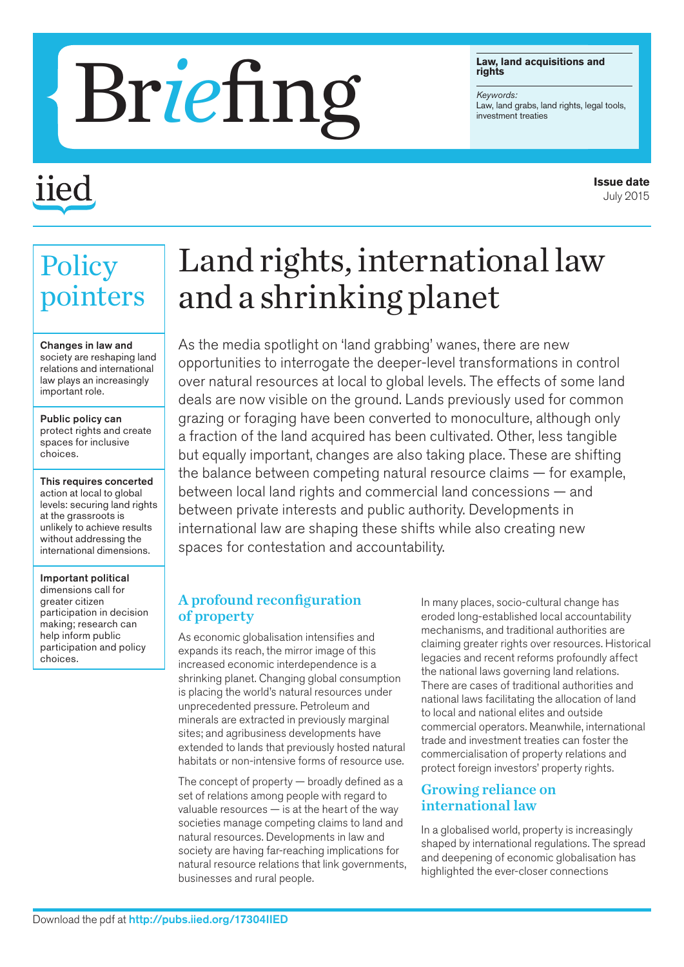#### **Law, land acquisitions and rights**

*Keywords:*

# Law, land acquiring hts Reywords:

## iiec

**Policy** 

pointers

Changes in law and society are reshaping land relations and international law plays an increasingly

important role.

choices.

choices.

Public policy can protect rights and create spaces for inclusive

This requires concerted action at local to global levels: securing land rights at the grassroots is unlikely to achieve results without addressing the international dimensions.

Important political dimensions call for greater citizen

participation in decision making; research can help inform public participation and policy

### Land rights, international law and a shrinking planet

As the media spotlight on 'land grabbing' wanes, there are new opportunities to interrogate the deeper-level transformations in control over natural resources at local to global levels. The effects of some land deals are now visible on the ground. Lands previously used for common grazing or foraging have been converted to monoculture, although only a fraction of the land acquired has been cultivated. Other, less tangible but equally important, changes are also taking place. These are shifting the balance between competing natural resource claims — for example, between local land rights and commercial land concessions — and between private interests and public authority. Developments in international law are shaping these shifts while also creating new spaces for contestation and accountability.

#### A profound reconfiguration of property

As economic globalisation intensifies and expands its reach, the mirror image of this increased economic interdependence is a shrinking planet. Changing global consumption is placing the world's natural resources under unprecedented pressure. Petroleum and minerals are extracted in previously marginal sites; and agribusiness developments have extended to lands that previously hosted natural habitats or non-intensive forms of resource use.

The concept of property — broadly defined as a set of relations among people with regard to valuable resources — is at the heart of the way societies manage competing claims to land and natural resources. Developments in law and society are having far-reaching implications for natural resource relations that link governments, businesses and rural people.

In many places, socio-cultural change has eroded long-established local accountability mechanisms, and traditional authorities are claiming greater rights over resources. Historical legacies and recent reforms profoundly affect the national laws governing land relations. There are cases of traditional authorities and national laws facilitating the allocation of land to local and national elites and outside commercial operators. Meanwhile, international trade and investment treaties can foster the commercialisation of property relations and protect foreign investors' property rights.

#### Growing reliance on international law

In a globalised world, property is increasingly shaped by international regulations. The spread and deepening of economic globalisation has highlighted the ever-closer connections

**Issue date** July 2015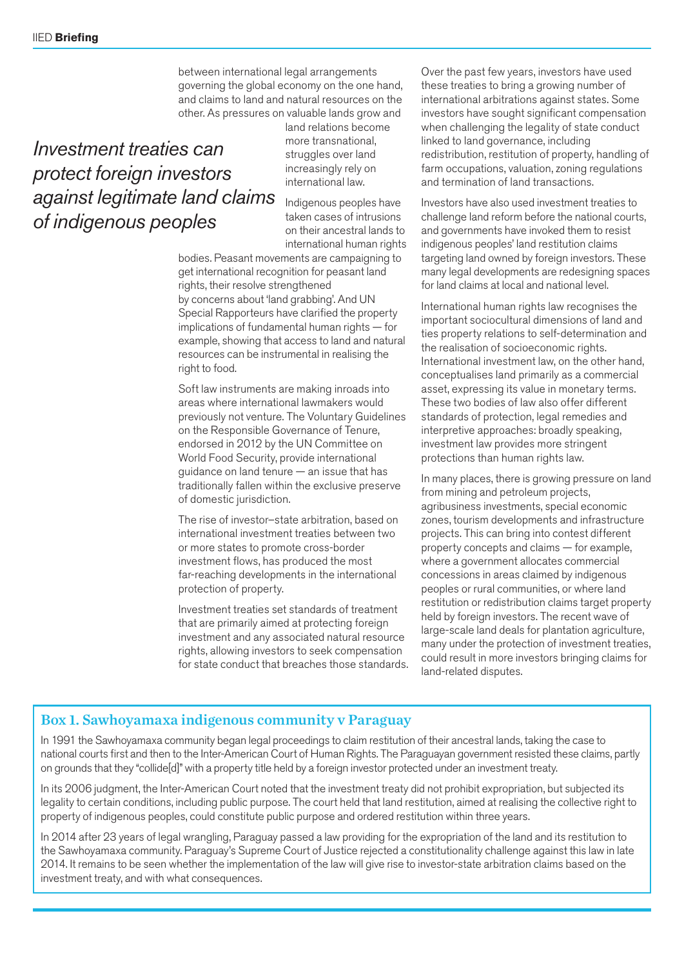between international legal arrangements governing the global economy on the one hand, and claims to land and natural resources on the other. As pressures on valuable lands grow and

#### *Investment treaties can protect foreign investors against legitimate land claims of indigenous peoples*

land relations become more transnational, struggles over land increasingly rely on international law.

Indigenous peoples have taken cases of intrusions on their ancestral lands to international human rights

bodies. Peasant movements are campaigning to get international recognition for peasant land rights, their resolve strengthened by concerns about 'land grabbing'. And UN Special Rapporteurs have clarified the property implications of fundamental human rights — for example, showing that access to land and natural resources can be instrumental in realising the right to food.

Soft law instruments are making inroads into areas where international lawmakers would previously not venture. The Voluntary Guidelines on the Responsible Governance of Tenure, endorsed in 2012 by the UN Committee on World Food Security, provide international guidance on land tenure — an issue that has traditionally fallen within the exclusive preserve of domestic jurisdiction.

The rise of investor–state arbitration, based on international investment treaties between two or more states to promote cross-border investment flows, has produced the most far-reaching developments in the international protection of property.

Investment treaties set standards of treatment that are primarily aimed at protecting foreign investment and any associated natural resource rights, allowing investors to seek compensation for state conduct that breaches those standards. Over the past few years, investors have used these treaties to bring a growing number of international arbitrations against states. Some investors have sought significant compensation when challenging the legality of state conduct linked to land governance, including redistribution, restitution of property, handling of farm occupations, valuation, zoning regulations and termination of land transactions.

Investors have also used investment treaties to challenge land reform before the national courts, and governments have invoked them to resist indigenous peoples' land restitution claims targeting land owned by foreign investors. These many legal developments are redesigning spaces for land claims at local and national level.

International human rights law recognises the important sociocultural dimensions of land and ties property relations to self-determination and the realisation of socioeconomic rights. International investment law, on the other hand, conceptualises land primarily as a commercial asset, expressing its value in monetary terms. These two bodies of law also offer different standards of protection, legal remedies and interpretive approaches: broadly speaking, investment law provides more stringent protections than human rights law.

In many places, there is growing pressure on land from mining and petroleum projects, agribusiness investments, special economic zones, tourism developments and infrastructure projects. This can bring into contest different property concepts and claims — for example, where a government allocates commercial concessions in areas claimed by indigenous peoples or rural communities, or where land restitution or redistribution claims target property held by foreign investors. The recent wave of large-scale land deals for plantation agriculture, many under the protection of investment treaties, could result in more investors bringing claims for land-related disputes.

#### Box 1. Sawhoyamaxa indigenous community v Paraguay

In 1991 the Sawhoyamaxa community began legal proceedings to claim restitution of their ancestral lands, taking the case to national courts first and then to the Inter-American Court of Human Rights. The Paraguayan government resisted these claims, partly on grounds that they "collide[d]" with a property title held by a foreign investor protected under an investment treaty.

In its 2006 judgment, the Inter-American Court noted that the investment treaty did not prohibit expropriation, but subjected its legality to certain conditions, including public purpose. The court held that land restitution, aimed at realising the collective right to property of indigenous peoples, could constitute public purpose and ordered restitution within three years.

In 2014 after 23 years of legal wrangling, Paraguay passed a law providing for the expropriation of the land and its restitution to the Sawhoyamaxa community. Paraguay's Supreme Court of Justice rejected a constitutionality challenge against this law in late 2014. It remains to be seen whether the implementation of the law will give rise to investor-state arbitration claims based on the investment treaty, and with what consequences.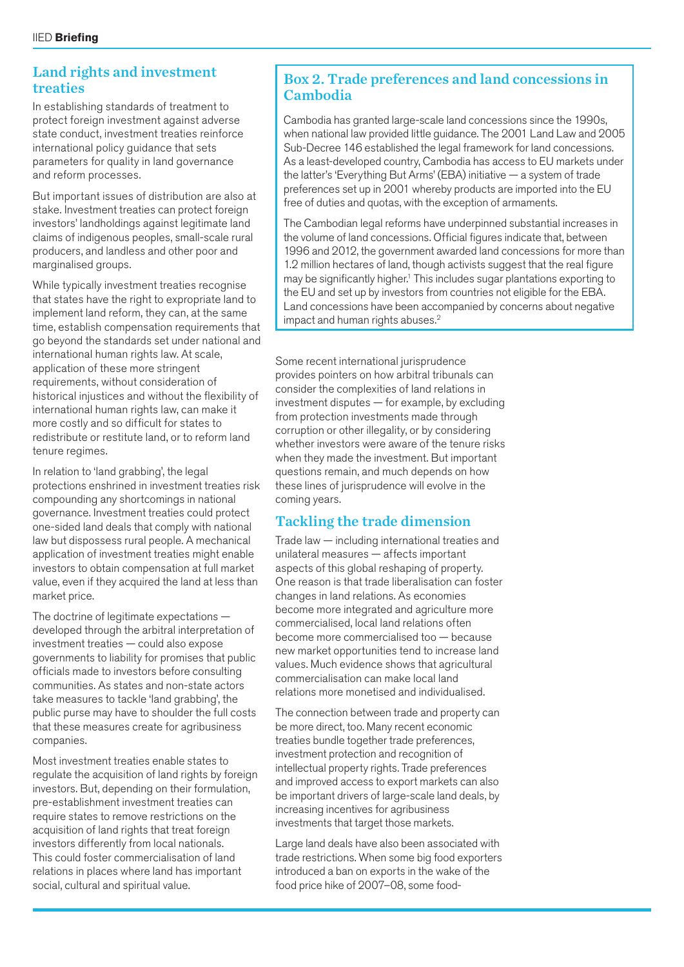#### Land rights and investment treaties

In establishing standards of treatment to protect foreign investment against adverse state conduct, investment treaties reinforce international policy guidance that sets parameters for quality in land governance and reform processes.

But important issues of distribution are also at stake. Investment treaties can protect foreign investors' landholdings against legitimate land claims of indigenous peoples, small-scale rural producers, and landless and other poor and marginalised groups.

While typically investment treaties recognise that states have the right to expropriate land to implement land reform, they can, at the same time, establish compensation requirements that go beyond the standards set under national and international human rights law. At scale, application of these more stringent requirements, without consideration of historical injustices and without the flexibility of international human rights law, can make it more costly and so difficult for states to redistribute or restitute land, or to reform land tenure regimes.

In relation to 'land grabbing', the legal protections enshrined in investment treaties risk compounding any shortcomings in national governance. Investment treaties could protect one-sided land deals that comply with national law but dispossess rural people. A mechanical application of investment treaties might enable investors to obtain compensation at full market value, even if they acquired the land at less than market price.

The doctrine of legitimate expectations developed through the arbitral interpretation of investment treaties — could also expose governments to liability for promises that public officials made to investors before consulting communities. As states and non-state actors take measures to tackle 'land grabbing', the public purse may have to shoulder the full costs that these measures create for agribusiness companies.

Most investment treaties enable states to regulate the acquisition of land rights by foreign investors. But, depending on their formulation, pre-establishment investment treaties can require states to remove restrictions on the acquisition of land rights that treat foreign investors differently from local nationals. This could foster commercialisation of land relations in places where land has important social, cultural and spiritual value.

#### Box 2. Trade preferences and land concessions in Cambodia

Cambodia has granted large-scale land concessions since the 1990s, when national law provided little guidance. The 2001 Land Law and 2005 Sub-Decree 146 established the legal framework for land concessions. As a least-developed country, Cambodia has access to EU markets under the latter's 'Everything But Arms' (EBA) initiative — a system of trade preferences set up in 2001 whereby products are imported into the EU free of duties and quotas, with the exception of armaments.

The Cambodian legal reforms have underpinned substantial increases in the volume of land concessions. Official figures indicate that, between 1996 and 2012, the government awarded land concessions for more than 1.2 million hectares of land, though activists suggest that the real figure may be significantly higher.1 This includes sugar plantations exporting to the EU and set up by investors from countries not eligible for the EBA. Land concessions have been accompanied by concerns about negative impact and human rights abuses.<sup>2</sup>

Some recent international jurisprudence provides pointers on how arbitral tribunals can consider the complexities of land relations in investment disputes — for example, by excluding from protection investments made through corruption or other illegality, or by considering whether investors were aware of the tenure risks when they made the investment. But important questions remain, and much depends on how these lines of jurisprudence will evolve in the coming years.

#### Tackling the trade dimension

Trade law — including international treaties and unilateral measures — affects important aspects of this global reshaping of property. One reason is that trade liberalisation can foster changes in land relations. As economies become more integrated and agriculture more commercialised, local land relations often become more commercialised too — because new market opportunities tend to increase land values. Much evidence shows that agricultural commercialisation can make local land relations more monetised and individualised.

The connection between trade and property can be more direct, too. Many recent economic treaties bundle together trade preferences, investment protection and recognition of intellectual property rights. Trade preferences and improved access to export markets can also be important drivers of large-scale land deals, by increasing incentives for agribusiness investments that target those markets.

Large land deals have also been associated with trade restrictions. When some big food exporters introduced a ban on exports in the wake of the food price hike of 2007–08, some food